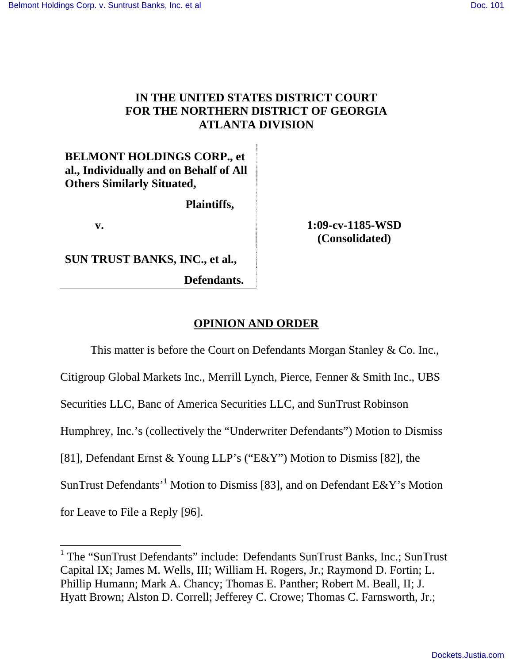# **IN THE UNITED STATES DISTRICT COURT FOR THE NORTHERN DISTRICT OF GEORGIA ATLANTA DIVISION**

**BELMONT HOLDINGS CORP., et al., Individually and on Behalf of All Others Similarly Situated,** 

 **Plaintiffs,**

**SUN TRUST BANKS, INC., et al.,**

 **Defendants.**

 **v. 1:09-cv-1185-WSD (Consolidated)** 

# **OPINION AND ORDER**

This matter is before the Court on Defendants Morgan Stanley & Co. Inc.,

Citigroup Global Markets Inc., Merrill Lynch, Pierce, Fenner & Smith Inc., UBS

Securities LLC, Banc of America Securities LLC, and SunTrust Robinson

Humphrey, Inc.'s (collectively the "Underwriter Defendants") Motion to Dismiss

[81], Defendant Ernst & Young LLP's ("E&Y") Motion to Dismiss [82], the

SunTrust Defendants<sup>'1</sup> Motion to Dismiss [83], and on Defendant E&Y's Motion

for Leave to File a Reply [96].

 $\overline{a}$ 

<sup>&</sup>lt;sup>1</sup> The "SunTrust Defendants" include: Defendants SunTrust Banks, Inc.; SunTrust Capital IX; James M. Wells, III; William H. Rogers, Jr.; Raymond D. Fortin; L. Phillip Humann; Mark A. Chancy; Thomas E. Panther; Robert M. Beall, II; J. Hyatt Brown; Alston D. Correll; Jefferey C. Crowe; Thomas C. Farnsworth, Jr.;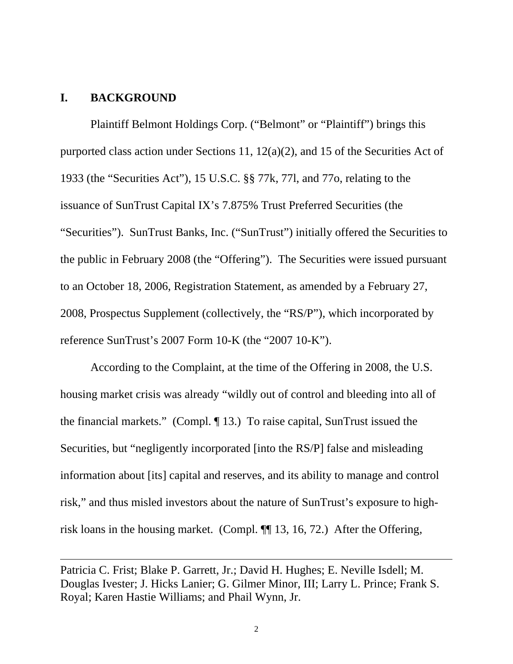### **I. BACKGROUND**

 $\overline{a}$ 

Plaintiff Belmont Holdings Corp. ("Belmont" or "Plaintiff") brings this purported class action under Sections 11, 12(a)(2), and 15 of the Securities Act of 1933 (the "Securities Act"), 15 U.S.C. §§ 77k, 77l, and 77o, relating to the issuance of SunTrust Capital IX's 7.875% Trust Preferred Securities (the "Securities"). SunTrust Banks, Inc. ("SunTrust") initially offered the Securities to the public in February 2008 (the "Offering"). The Securities were issued pursuant to an October 18, 2006, Registration Statement, as amended by a February 27, 2008, Prospectus Supplement (collectively, the "RS/P"), which incorporated by reference SunTrust's 2007 Form 10-K (the "2007 10-K").

According to the Complaint, at the time of the Offering in 2008, the U.S. housing market crisis was already "wildly out of control and bleeding into all of the financial markets." (Compl. ¶ 13.) To raise capital, SunTrust issued the Securities, but "negligently incorporated [into the RS/P] false and misleading information about [its] capital and reserves, and its ability to manage and control risk," and thus misled investors about the nature of SunTrust's exposure to highrisk loans in the housing market. (Compl. ¶¶ 13, 16, 72.) After the Offering,

Patricia C. Frist; Blake P. Garrett, Jr.; David H. Hughes; E. Neville Isdell; M. Douglas Ivester; J. Hicks Lanier; G. Gilmer Minor, III; Larry L. Prince; Frank S. Royal; Karen Hastie Williams; and Phail Wynn, Jr.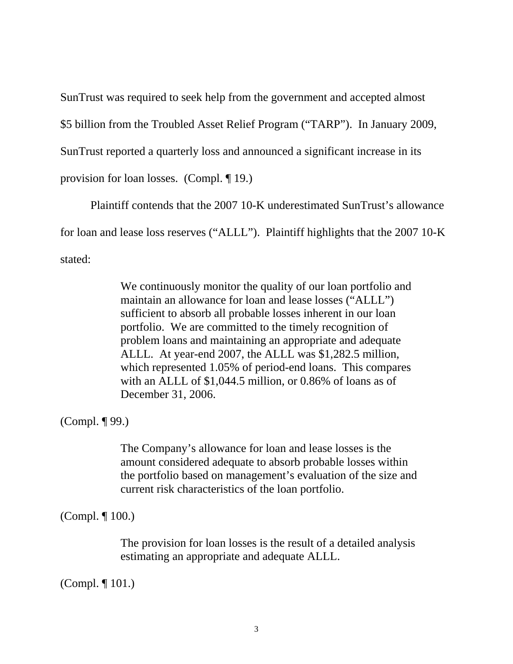SunTrust was required to seek help from the government and accepted almost

\$5 billion from the Troubled Asset Relief Program ("TARP"). In January 2009,

SunTrust reported a quarterly loss and announced a significant increase in its

provision for loan losses. (Compl. ¶ 19.)

Plaintiff contends that the 2007 10-K underestimated SunTrust's allowance for loan and lease loss reserves ("ALLL"). Plaintiff highlights that the 2007 10-K stated:

> We continuously monitor the quality of our loan portfolio and maintain an allowance for loan and lease losses ("ALLL") sufficient to absorb all probable losses inherent in our loan portfolio. We are committed to the timely recognition of problem loans and maintaining an appropriate and adequate ALLL. At year-end 2007, the ALLL was \$1,282.5 million, which represented 1.05% of period-end loans. This compares with an ALLL of \$1,044.5 million, or 0.86% of loans as of December 31, 2006.

(Compl. ¶ 99.)

The Company's allowance for loan and lease losses is the amount considered adequate to absorb probable losses within the portfolio based on management's evaluation of the size and current risk characteristics of the loan portfolio.

(Compl. ¶ 100.)

The provision for loan losses is the result of a detailed analysis estimating an appropriate and adequate ALLL.

(Compl. ¶ 101.)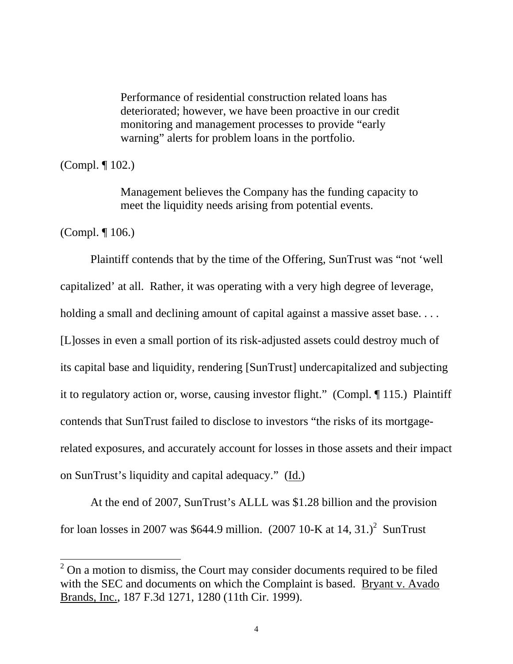Performance of residential construction related loans has deteriorated; however, we have been proactive in our credit monitoring and management processes to provide "early warning" alerts for problem loans in the portfolio.

(Compl. ¶ 102.)

Management believes the Company has the funding capacity to meet the liquidity needs arising from potential events.

(Compl. ¶ 106.)

 $\overline{a}$ 

Plaintiff contends that by the time of the Offering, SunTrust was "not 'well capitalized' at all. Rather, it was operating with a very high degree of leverage, holding a small and declining amount of capital against a massive asset base.... [L]osses in even a small portion of its risk-adjusted assets could destroy much of its capital base and liquidity, rendering [SunTrust] undercapitalized and subjecting it to regulatory action or, worse, causing investor flight." (Compl. ¶ 115.) Plaintiff contends that SunTrust failed to disclose to investors "the risks of its mortgagerelated exposures, and accurately account for losses in those assets and their impact on SunTrust's liquidity and capital adequacy." (Id.)

At the end of 2007, SunTrust's ALLL was \$1.28 billion and the provision for loan losses in 2007 was \$644.9 million.  $(2007 10-K$  at  $14, 31.$ <sup>2</sup> SunTrust

 $2^{2}$  On a motion to dismiss, the Court may consider documents required to be filed with the SEC and documents on which the Complaint is based. Bryant v. Avado Brands, Inc., 187 F.3d 1271, 1280 (11th Cir. 1999).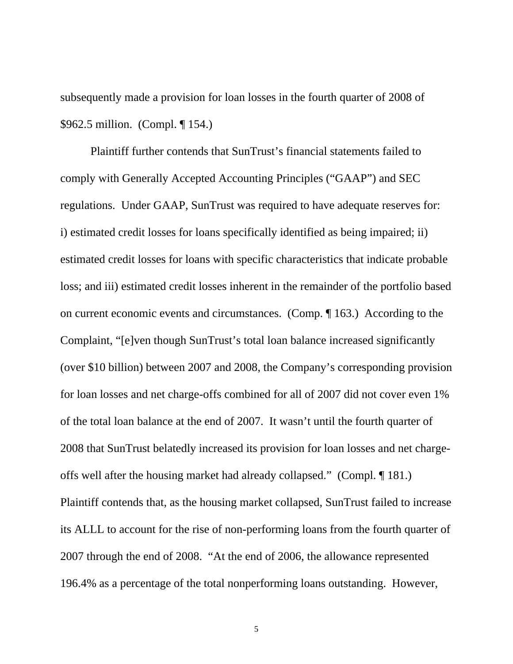subsequently made a provision for loan losses in the fourth quarter of 2008 of \$962.5 million. (Compl. ¶ 154.)

Plaintiff further contends that SunTrust's financial statements failed to comply with Generally Accepted Accounting Principles ("GAAP") and SEC regulations. Under GAAP, SunTrust was required to have adequate reserves for: i) estimated credit losses for loans specifically identified as being impaired; ii) estimated credit losses for loans with specific characteristics that indicate probable loss; and iii) estimated credit losses inherent in the remainder of the portfolio based on current economic events and circumstances. (Comp. ¶ 163.) According to the Complaint, "[e]ven though SunTrust's total loan balance increased significantly (over \$10 billion) between 2007 and 2008, the Company's corresponding provision for loan losses and net charge-offs combined for all of 2007 did not cover even 1% of the total loan balance at the end of 2007. It wasn't until the fourth quarter of 2008 that SunTrust belatedly increased its provision for loan losses and net chargeoffs well after the housing market had already collapsed." (Compl. ¶ 181.) Plaintiff contends that, as the housing market collapsed, SunTrust failed to increase its ALLL to account for the rise of non-performing loans from the fourth quarter of 2007 through the end of 2008. "At the end of 2006, the allowance represented 196.4% as a percentage of the total nonperforming loans outstanding. However,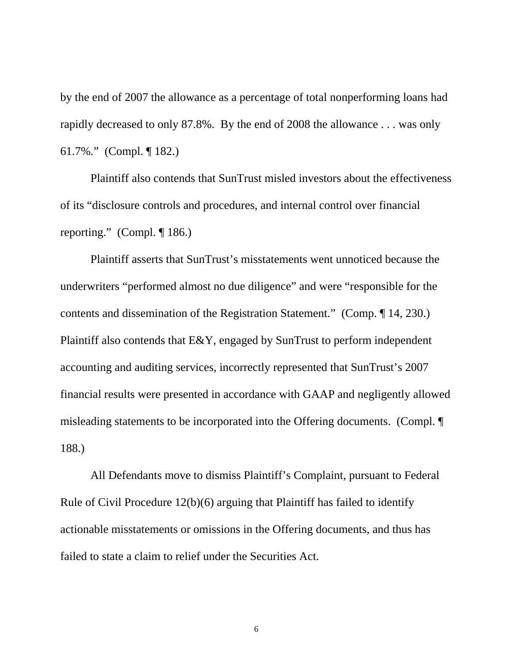by the end of 2007 the allowance as a percentage of total nonperforming loans had rapidly decreased to only 87.8%. By the end of 2008 the allowance . . . was only 61.7%." (Compl. ¶ 182.)

Plaintiff also contends that SunTrust misled investors about the effectiveness of its "disclosure controls and procedures, and internal control over financial reporting." (Compl. ¶ 186.)

Plaintiff asserts that SunTrust's misstatements went unnoticed because the underwriters "performed almost no due diligence" and were "responsible for the contents and dissemination of the Registration Statement." (Comp. ¶ 14, 230.) Plaintiff also contends that E&Y, engaged by SunTrust to perform independent accounting and auditing services, incorrectly represented that SunTrust's 2007 financial results were presented in accordance with GAAP and negligently allowed misleading statements to be incorporated into the Offering documents. (Compl. ¶ 188.)

All Defendants move to dismiss Plaintiff's Complaint, pursuant to Federal Rule of Civil Procedure 12(b)(6) arguing that Plaintiff has failed to identify actionable misstatements or omissions in the Offering documents, and thus has failed to state a claim to relief under the Securities Act.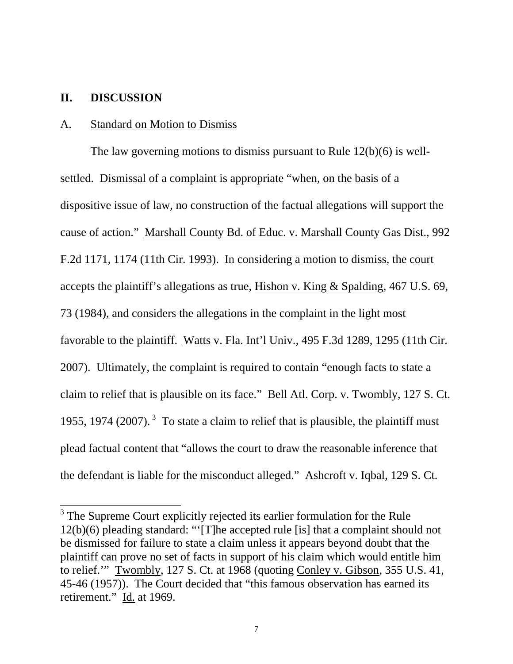# **II. DISCUSSION**

 $\overline{a}$ 

#### A. Standard on Motion to Dismiss

The law governing motions to dismiss pursuant to Rule 12(b)(6) is wellsettled. Dismissal of a complaint is appropriate "when, on the basis of a dispositive issue of law, no construction of the factual allegations will support the cause of action." Marshall County Bd. of Educ. v. Marshall County Gas Dist., 992 F.2d 1171, 1174 (11th Cir. 1993). In considering a motion to dismiss, the court accepts the plaintiff's allegations as true, Hishon v. King & Spalding, 467 U.S. 69, 73 (1984), and considers the allegations in the complaint in the light most favorable to the plaintiff. Watts v. Fla. Int'l Univ., 495 F.3d 1289, 1295 (11th Cir. 2007). Ultimately, the complaint is required to contain "enough facts to state a claim to relief that is plausible on its face." Bell Atl. Corp. v. Twombly, 127 S. Ct. 1955, 1974 (2007).<sup>3</sup> To state a claim to relief that is plausible, the plaintiff must plead factual content that "allows the court to draw the reasonable inference that the defendant is liable for the misconduct alleged." Ashcroft v. Iqbal, 129 S. Ct.

<sup>&</sup>lt;sup>3</sup> The Supreme Court explicitly rejected its earlier formulation for the Rule 12(b)(6) pleading standard: "'[T]he accepted rule [is] that a complaint should not be dismissed for failure to state a claim unless it appears beyond doubt that the plaintiff can prove no set of facts in support of his claim which would entitle him to relief.'" Twombly, 127 S. Ct. at 1968 (quoting Conley v. Gibson, 355 U.S. 41, 45-46 (1957)). The Court decided that "this famous observation has earned its retirement." Id. at 1969.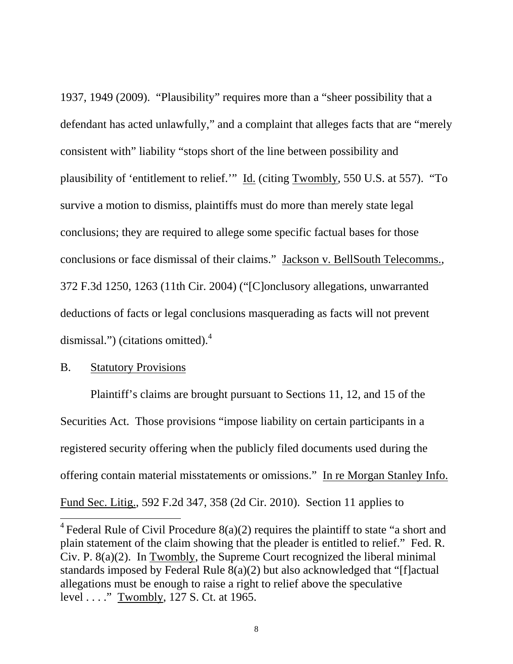1937, 1949 (2009). "Plausibility" requires more than a "sheer possibility that a defendant has acted unlawfully," and a complaint that alleges facts that are "merely consistent with" liability "stops short of the line between possibility and plausibility of 'entitlement to relief.'" Id. (citing Twombly, 550 U.S. at 557). "To survive a motion to dismiss, plaintiffs must do more than merely state legal conclusions; they are required to allege some specific factual bases for those conclusions or face dismissal of their claims." Jackson v. BellSouth Telecomms., 372 F.3d 1250, 1263 (11th Cir. 2004) ("[C]onclusory allegations, unwarranted deductions of facts or legal conclusions masquerading as facts will not prevent dismissal.") (citations omitted).<sup>4</sup>

# B. Statutory Provisions

 $\overline{a}$ 

Plaintiff's claims are brought pursuant to Sections 11, 12, and 15 of the Securities Act. Those provisions "impose liability on certain participants in a registered security offering when the publicly filed documents used during the offering contain material misstatements or omissions." In re Morgan Stanley Info. Fund Sec. Litig., 592 F.2d 347, 358 (2d Cir. 2010). Section 11 applies to

<sup>&</sup>lt;sup>4</sup> Federal Rule of Civil Procedure  $8(a)(2)$  requires the plaintiff to state "a short and plain statement of the claim showing that the pleader is entitled to relief." Fed. R. Civ. P. 8(a)(2). In Twombly, the Supreme Court recognized the liberal minimal standards imposed by Federal Rule 8(a)(2) but also acknowledged that "[f]actual allegations must be enough to raise a right to relief above the speculative level . . . ." Twombly, 127 S. Ct. at 1965.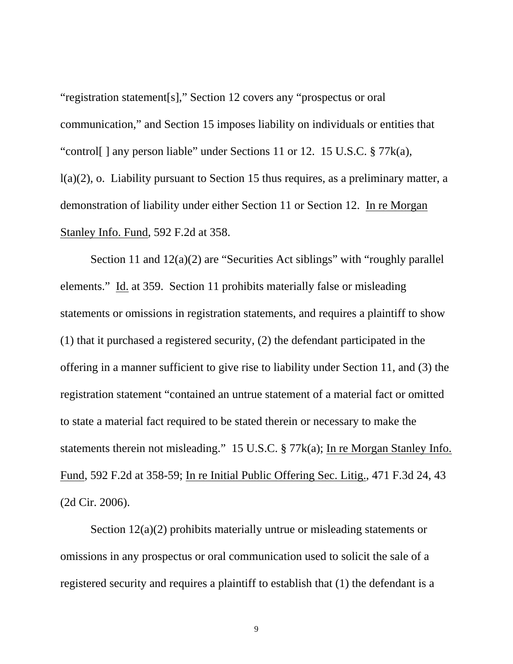"registration statement[s]," Section 12 covers any "prospectus or oral communication," and Section 15 imposes liability on individuals or entities that "control[ ] any person liable" under Sections 11 or 12. 15 U.S.C. § 77k(a), l(a)(2), o. Liability pursuant to Section 15 thus requires, as a preliminary matter, a demonstration of liability under either Section 11 or Section 12. In re Morgan Stanley Info. Fund, 592 F.2d at 358.

Section 11 and  $12(a)(2)$  are "Securities Act siblings" with "roughly parallel" elements." Id. at 359. Section 11 prohibits materially false or misleading statements or omissions in registration statements, and requires a plaintiff to show (1) that it purchased a registered security, (2) the defendant participated in the offering in a manner sufficient to give rise to liability under Section 11, and (3) the registration statement "contained an untrue statement of a material fact or omitted to state a material fact required to be stated therein or necessary to make the statements therein not misleading." 15 U.S.C. § 77k(a); In re Morgan Stanley Info. Fund, 592 F.2d at 358-59; In re Initial Public Offering Sec. Litig., 471 F.3d 24, 43 (2d Cir. 2006).

Section 12(a)(2) prohibits materially untrue or misleading statements or omissions in any prospectus or oral communication used to solicit the sale of a registered security and requires a plaintiff to establish that (1) the defendant is a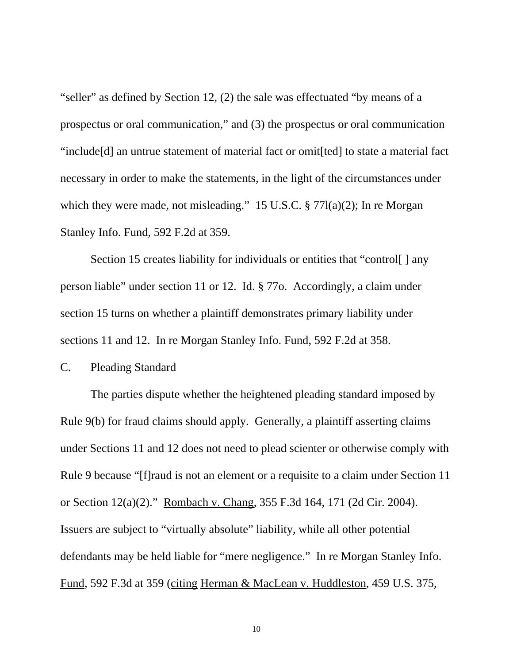"seller" as defined by Section 12, (2) the sale was effectuated "by means of a prospectus or oral communication," and (3) the prospectus or oral communication "include[d] an untrue statement of material fact or omit[ted] to state a material fact necessary in order to make the statements, in the light of the circumstances under which they were made, not misleading." 15 U.S.C. § 77l(a)(2); In re Morgan Stanley Info. Fund, 592 F.2d at 359.

Section 15 creates liability for individuals or entities that "control[] any person liable" under section 11 or 12. Id. § 77o. Accordingly, a claim under section 15 turns on whether a plaintiff demonstrates primary liability under sections 11 and 12. In re Morgan Stanley Info. Fund, 592 F.2d at 358.

# C. Pleading Standard

The parties dispute whether the heightened pleading standard imposed by Rule 9(b) for fraud claims should apply. Generally, a plaintiff asserting claims under Sections 11 and 12 does not need to plead scienter or otherwise comply with Rule 9 because "[f]raud is not an element or a requisite to a claim under Section 11 or Section 12(a)(2)." Rombach v. Chang, 355 F.3d 164, 171 (2d Cir. 2004). Issuers are subject to "virtually absolute" liability, while all other potential defendants may be held liable for "mere negligence." In re Morgan Stanley Info. Fund, 592 F.3d at 359 (citing Herman & MacLean v. Huddleston, 459 U.S. 375,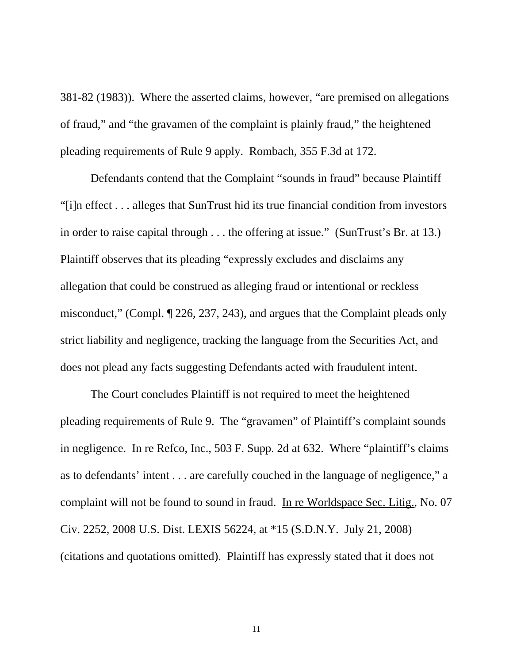381-82 (1983)). Where the asserted claims, however, "are premised on allegations of fraud," and "the gravamen of the complaint is plainly fraud," the heightened pleading requirements of Rule 9 apply. Rombach, 355 F.3d at 172.

Defendants contend that the Complaint "sounds in fraud" because Plaintiff "[i]n effect . . . alleges that SunTrust hid its true financial condition from investors in order to raise capital through . . . the offering at issue." (SunTrust's Br. at 13.) Plaintiff observes that its pleading "expressly excludes and disclaims any allegation that could be construed as alleging fraud or intentional or reckless misconduct," (Compl. ¶ 226, 237, 243), and argues that the Complaint pleads only strict liability and negligence, tracking the language from the Securities Act, and does not plead any facts suggesting Defendants acted with fraudulent intent.

The Court concludes Plaintiff is not required to meet the heightened pleading requirements of Rule 9. The "gravamen" of Plaintiff's complaint sounds in negligence. In re Refco, Inc., 503 F. Supp. 2d at 632. Where "plaintiff's claims as to defendants' intent . . . are carefully couched in the language of negligence," a complaint will not be found to sound in fraud. In re Worldspace Sec. Litig., No. 07 Civ. 2252, 2008 U.S. Dist. LEXIS 56224, at \*15 (S.D.N.Y. July 21, 2008) (citations and quotations omitted). Plaintiff has expressly stated that it does not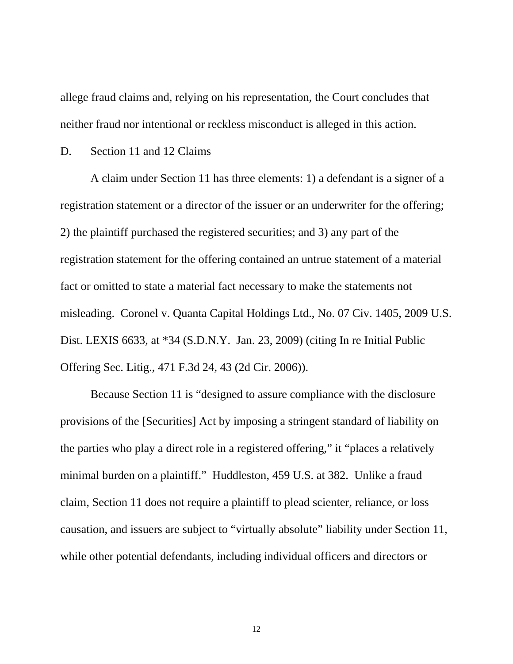allege fraud claims and, relying on his representation, the Court concludes that neither fraud nor intentional or reckless misconduct is alleged in this action.

#### D. Section 11 and 12 Claims

A claim under Section 11 has three elements: 1) a defendant is a signer of a registration statement or a director of the issuer or an underwriter for the offering; 2) the plaintiff purchased the registered securities; and 3) any part of the registration statement for the offering contained an untrue statement of a material fact or omitted to state a material fact necessary to make the statements not misleading. Coronel v. Quanta Capital Holdings Ltd., No. 07 Civ. 1405, 2009 U.S. Dist. LEXIS 6633, at \*34 (S.D.N.Y. Jan. 23, 2009) (citing In re Initial Public Offering Sec. Litig., 471 F.3d 24, 43 (2d Cir. 2006)).

Because Section 11 is "designed to assure compliance with the disclosure provisions of the [Securities] Act by imposing a stringent standard of liability on the parties who play a direct role in a registered offering," it "places a relatively minimal burden on a plaintiff." Huddleston, 459 U.S. at 382. Unlike a fraud claim, Section 11 does not require a plaintiff to plead scienter, reliance, or loss causation, and issuers are subject to "virtually absolute" liability under Section 11, while other potential defendants, including individual officers and directors or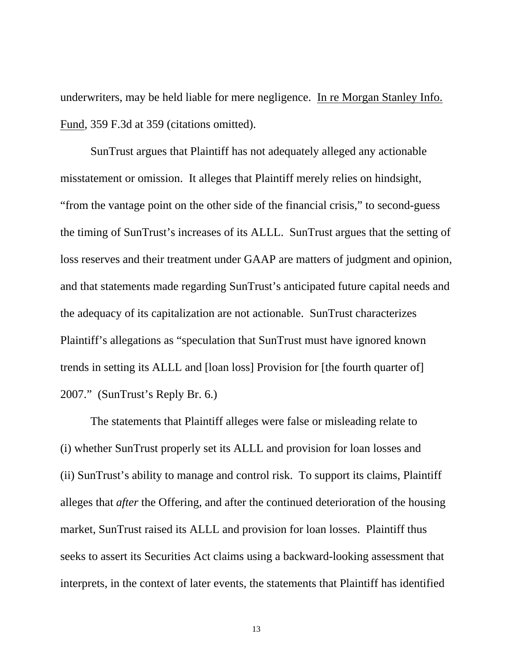underwriters, may be held liable for mere negligence. In re Morgan Stanley Info. Fund, 359 F.3d at 359 (citations omitted).

SunTrust argues that Plaintiff has not adequately alleged any actionable misstatement or omission. It alleges that Plaintiff merely relies on hindsight, "from the vantage point on the other side of the financial crisis," to second-guess the timing of SunTrust's increases of its ALLL. SunTrust argues that the setting of loss reserves and their treatment under GAAP are matters of judgment and opinion, and that statements made regarding SunTrust's anticipated future capital needs and the adequacy of its capitalization are not actionable. SunTrust characterizes Plaintiff's allegations as "speculation that SunTrust must have ignored known trends in setting its ALLL and [loan loss] Provision for [the fourth quarter of] 2007." (SunTrust's Reply Br. 6.)

The statements that Plaintiff alleges were false or misleading relate to (i) whether SunTrust properly set its ALLL and provision for loan losses and (ii) SunTrust's ability to manage and control risk. To support its claims, Plaintiff alleges that *after* the Offering, and after the continued deterioration of the housing market, SunTrust raised its ALLL and provision for loan losses. Plaintiff thus seeks to assert its Securities Act claims using a backward-looking assessment that interprets, in the context of later events, the statements that Plaintiff has identified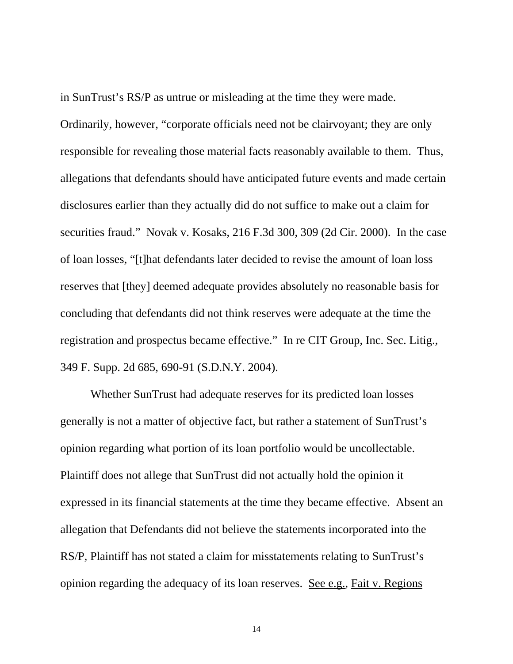in SunTrust's RS/P as untrue or misleading at the time they were made. Ordinarily, however, "corporate officials need not be clairvoyant; they are only responsible for revealing those material facts reasonably available to them. Thus, allegations that defendants should have anticipated future events and made certain disclosures earlier than they actually did do not suffice to make out a claim for securities fraud." Novak v. Kosaks, 216 F.3d 300, 309 (2d Cir. 2000). In the case of loan losses, "[t]hat defendants later decided to revise the amount of loan loss reserves that [they] deemed adequate provides absolutely no reasonable basis for concluding that defendants did not think reserves were adequate at the time the registration and prospectus became effective." In re CIT Group, Inc. Sec. Litig., 349 F. Supp. 2d 685, 690-91 (S.D.N.Y. 2004).

Whether SunTrust had adequate reserves for its predicted loan losses generally is not a matter of objective fact, but rather a statement of SunTrust's opinion regarding what portion of its loan portfolio would be uncollectable. Plaintiff does not allege that SunTrust did not actually hold the opinion it expressed in its financial statements at the time they became effective. Absent an allegation that Defendants did not believe the statements incorporated into the RS/P, Plaintiff has not stated a claim for misstatements relating to SunTrust's opinion regarding the adequacy of its loan reserves. See e.g., Fait v. Regions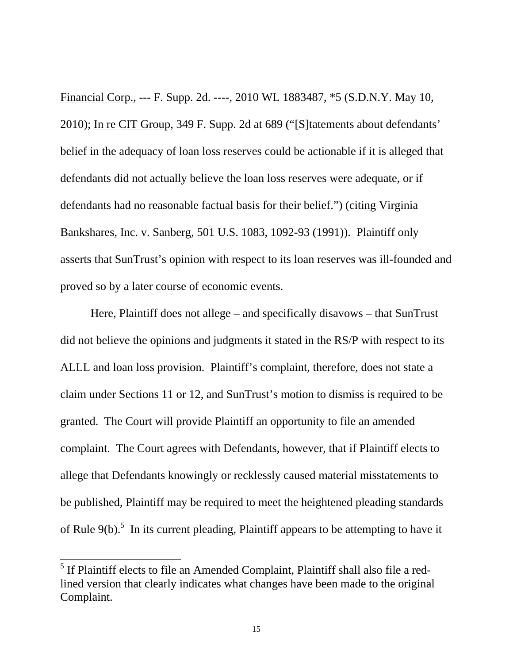Financial Corp., --- F. Supp. 2d. ----, 2010 WL 1883487, \*5 (S.D.N.Y. May 10, 2010); In re CIT Group, 349 F. Supp. 2d at 689 ("[S]tatements about defendants' belief in the adequacy of loan loss reserves could be actionable if it is alleged that defendants did not actually believe the loan loss reserves were adequate, or if defendants had no reasonable factual basis for their belief.") (citing Virginia Bankshares, Inc. v. Sanberg, 501 U.S. 1083, 1092-93 (1991)). Plaintiff only asserts that SunTrust's opinion with respect to its loan reserves was ill-founded and proved so by a later course of economic events.

Here, Plaintiff does not allege – and specifically disavows – that SunTrust did not believe the opinions and judgments it stated in the RS/P with respect to its ALLL and loan loss provision. Plaintiff's complaint, therefore, does not state a claim under Sections 11 or 12, and SunTrust's motion to dismiss is required to be granted. The Court will provide Plaintiff an opportunity to file an amended complaint. The Court agrees with Defendants, however, that if Plaintiff elects to allege that Defendants knowingly or recklessly caused material misstatements to be published, Plaintiff may be required to meet the heightened pleading standards of Rule  $9(b)$ .<sup>5</sup> In its current pleading, Plaintiff appears to be attempting to have it

<sup>&</sup>lt;sup>5</sup> If Plaintiff elects to file an Amended Complaint, Plaintiff shall also file a redlined version that clearly indicates what changes have been made to the original Complaint.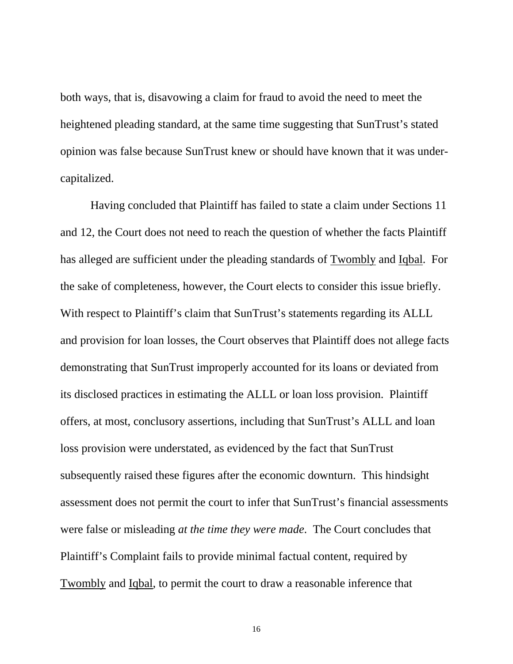both ways, that is, disavowing a claim for fraud to avoid the need to meet the heightened pleading standard, at the same time suggesting that SunTrust's stated opinion was false because SunTrust knew or should have known that it was undercapitalized.

Having concluded that Plaintiff has failed to state a claim under Sections 11 and 12, the Court does not need to reach the question of whether the facts Plaintiff has alleged are sufficient under the pleading standards of Twombly and Iqbal. For the sake of completeness, however, the Court elects to consider this issue briefly. With respect to Plaintiff's claim that SunTrust's statements regarding its ALLL and provision for loan losses, the Court observes that Plaintiff does not allege facts demonstrating that SunTrust improperly accounted for its loans or deviated from its disclosed practices in estimating the ALLL or loan loss provision. Plaintiff offers, at most, conclusory assertions, including that SunTrust's ALLL and loan loss provision were understated, as evidenced by the fact that SunTrust subsequently raised these figures after the economic downturn. This hindsight assessment does not permit the court to infer that SunTrust's financial assessments were false or misleading *at the time they were made*. The Court concludes that Plaintiff's Complaint fails to provide minimal factual content, required by Twombly and Iqbal, to permit the court to draw a reasonable inference that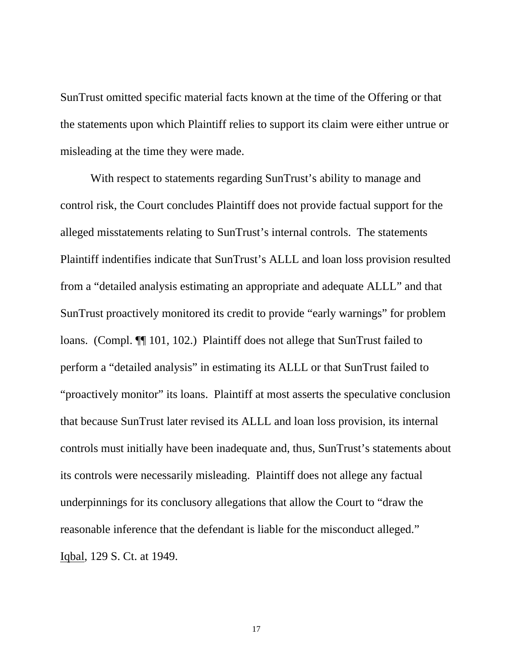SunTrust omitted specific material facts known at the time of the Offering or that the statements upon which Plaintiff relies to support its claim were either untrue or misleading at the time they were made.

With respect to statements regarding SunTrust's ability to manage and control risk, the Court concludes Plaintiff does not provide factual support for the alleged misstatements relating to SunTrust's internal controls. The statements Plaintiff indentifies indicate that SunTrust's ALLL and loan loss provision resulted from a "detailed analysis estimating an appropriate and adequate ALLL" and that SunTrust proactively monitored its credit to provide "early warnings" for problem loans. (Compl. ¶¶ 101, 102.) Plaintiff does not allege that SunTrust failed to perform a "detailed analysis" in estimating its ALLL or that SunTrust failed to "proactively monitor" its loans. Plaintiff at most asserts the speculative conclusion that because SunTrust later revised its ALLL and loan loss provision, its internal controls must initially have been inadequate and, thus, SunTrust's statements about its controls were necessarily misleading. Plaintiff does not allege any factual underpinnings for its conclusory allegations that allow the Court to "draw the reasonable inference that the defendant is liable for the misconduct alleged." Iqbal, 129 S. Ct. at 1949.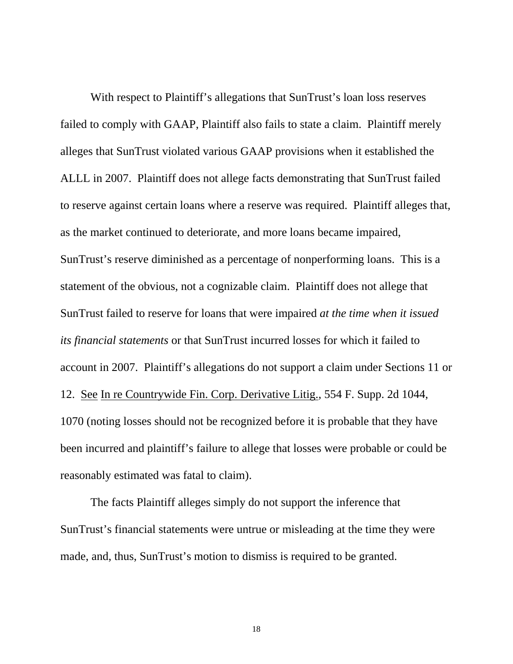With respect to Plaintiff's allegations that SunTrust's loan loss reserves failed to comply with GAAP, Plaintiff also fails to state a claim. Plaintiff merely alleges that SunTrust violated various GAAP provisions when it established the ALLL in 2007. Plaintiff does not allege facts demonstrating that SunTrust failed to reserve against certain loans where a reserve was required. Plaintiff alleges that, as the market continued to deteriorate, and more loans became impaired, SunTrust's reserve diminished as a percentage of nonperforming loans. This is a statement of the obvious, not a cognizable claim. Plaintiff does not allege that SunTrust failed to reserve for loans that were impaired *at the time when it issued its financial statements* or that SunTrust incurred losses for which it failed to account in 2007. Plaintiff's allegations do not support a claim under Sections 11 or 12. See In re Countrywide Fin. Corp. Derivative Litig., 554 F. Supp. 2d 1044, 1070 (noting losses should not be recognized before it is probable that they have been incurred and plaintiff's failure to allege that losses were probable or could be reasonably estimated was fatal to claim).

The facts Plaintiff alleges simply do not support the inference that SunTrust's financial statements were untrue or misleading at the time they were made, and, thus, SunTrust's motion to dismiss is required to be granted.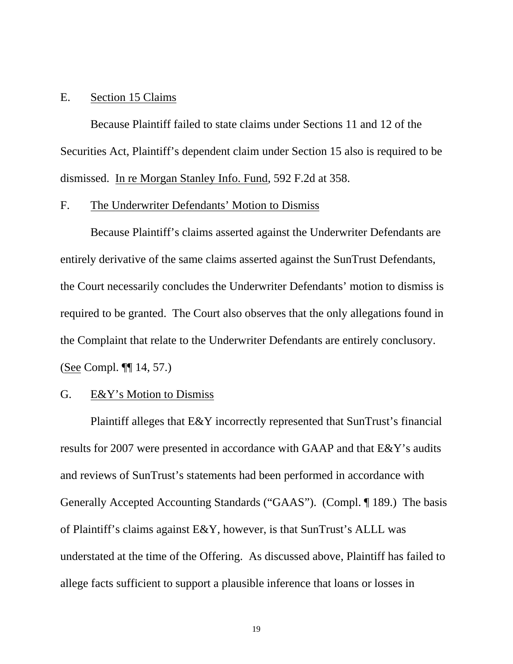#### E. Section 15 Claims

Because Plaintiff failed to state claims under Sections 11 and 12 of the Securities Act, Plaintiff's dependent claim under Section 15 also is required to be dismissed. In re Morgan Stanley Info. Fund, 592 F.2d at 358.

# F. The Underwriter Defendants' Motion to Dismiss

Because Plaintiff's claims asserted against the Underwriter Defendants are entirely derivative of the same claims asserted against the SunTrust Defendants, the Court necessarily concludes the Underwriter Defendants' motion to dismiss is required to be granted. The Court also observes that the only allegations found in the Complaint that relate to the Underwriter Defendants are entirely conclusory. (See Compl. ¶¶ 14, 57.)

### G. E&Y's Motion to Dismiss

Plaintiff alleges that E&Y incorrectly represented that SunTrust's financial results for 2007 were presented in accordance with GAAP and that E&Y's audits and reviews of SunTrust's statements had been performed in accordance with Generally Accepted Accounting Standards ("GAAS"). (Compl. ¶ 189.) The basis of Plaintiff's claims against E&Y, however, is that SunTrust's ALLL was understated at the time of the Offering. As discussed above, Plaintiff has failed to allege facts sufficient to support a plausible inference that loans or losses in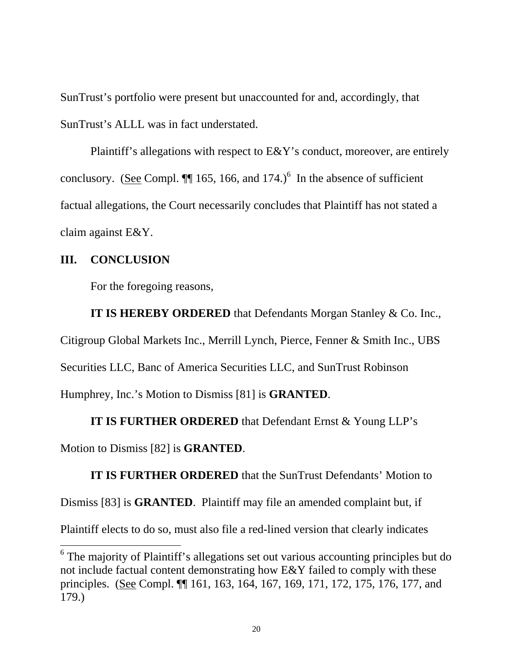SunTrust's portfolio were present but unaccounted for and, accordingly, that SunTrust's ALLL was in fact understated.

Plaintiff's allegations with respect to E&Y's conduct, moreover, are entirely conclusory. (See Compl.  $\P$  165, 166, and 174.)<sup>6</sup> In the absence of sufficient factual allegations, the Court necessarily concludes that Plaintiff has not stated a claim against E&Y.

### **III. CONCLUSION**

 $\overline{a}$ 

For the foregoing reasons,

**IT IS HEREBY ORDERED** that Defendants Morgan Stanley & Co. Inc., Citigroup Global Markets Inc., Merrill Lynch, Pierce, Fenner & Smith Inc., UBS Securities LLC, Banc of America Securities LLC, and SunTrust Robinson Humphrey, Inc.'s Motion to Dismiss [81] is **GRANTED**.

**IT IS FURTHER ORDERED** that Defendant Ernst & Young LLP's Motion to Dismiss [82] is **GRANTED**.

**IT IS FURTHER ORDERED** that the SunTrust Defendants' Motion to Dismiss [83] is **GRANTED**. Plaintiff may file an amended complaint but, if Plaintiff elects to do so, must also file a red-lined version that clearly indicates

<sup>&</sup>lt;sup>6</sup> The majority of Plaintiff's allegations set out various accounting principles but do not include factual content demonstrating how E&Y failed to comply with these principles. (See Compl. ¶¶ 161, 163, 164, 167, 169, 171, 172, 175, 176, 177, and 179.)